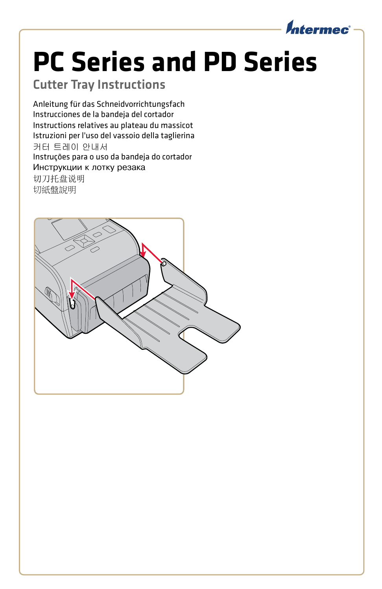

## **PC Series and PD Series**

## Cutter Tray Instructions

Anleitung für das Schneidvorrichtungsfach Instrucciones de la bandeja del cortador Instructions relatives au plateau du massicot Istruzioni per l'uso del vassoio della taglierina 커터 트레이 안내서 Instruções para o uso da bandeja do cortador Инструкции к лотку резака 切刀托盘说明 切紙盤說明